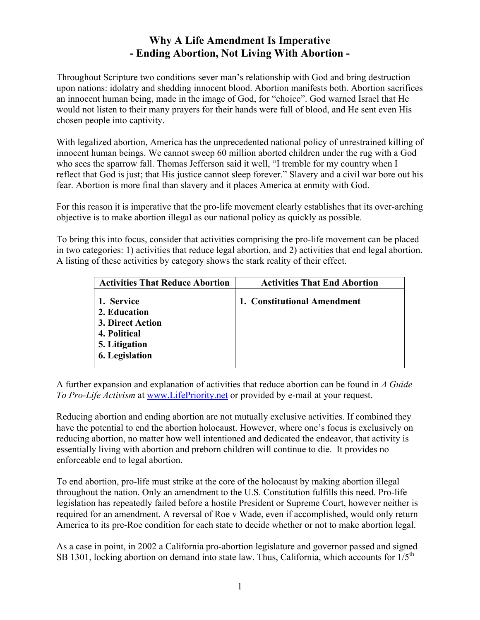## **Why A Life Amendment Is Imperative - Ending Abortion, Not Living With Abortion -**

Throughout Scripture two conditions sever man's relationship with God and bring destruction upon nations: idolatry and shedding innocent blood. Abortion manifests both. Abortion sacrifices an innocent human being, made in the image of God, for "choice". God warned Israel that He would not listen to their many prayers for their hands were full of blood, and He sent even His chosen people into captivity.

With legalized abortion, America has the unprecedented national policy of unrestrained killing of innocent human beings. We cannot sweep 60 million aborted children under the rug with a God who sees the sparrow fall. Thomas Jefferson said it well, "I tremble for my country when I reflect that God is just; that His justice cannot sleep forever." Slavery and a civil war bore out his fear. Abortion is more final than slavery and it places America at enmity with God.

For this reason it is imperative that the pro-life movement clearly establishes that its over-arching objective is to make abortion illegal as our national policy as quickly as possible.

To bring this into focus, consider that activities comprising the pro-life movement can be placed in two categories: 1) activities that reduce legal abortion, and 2) activities that end legal abortion. A listing of these activities by category shows the stark reality of their effect.

| <b>Activities That Reduce Abortion</b>                                                            | <b>Activities That End Abortion</b> |
|---------------------------------------------------------------------------------------------------|-------------------------------------|
| 1. Service<br>2. Education<br>3. Direct Action<br>4. Political<br>5. Litigation<br>6. Legislation | 1. Constitutional Amendment         |

A further expansion and explanation of activities that reduce abortion can be found in *A Guide To Pro-Life Activism* at [www.LifePriority.net](http://www.lifepriority.net/) or provided by e-mail at your request.

Reducing abortion and ending abortion are not mutually exclusive activities. If combined they have the potential to end the abortion holocaust. However, where one's focus is exclusively on reducing abortion, no matter how well intentioned and dedicated the endeavor, that activity is essentially living with abortion and preborn children will continue to die. It provides no enforceable end to legal abortion.

To end abortion, pro-life must strike at the core of the holocaust by making abortion illegal throughout the nation. Only an amendment to the U.S. Constitution fulfills this need. Pro-life legislation has repeatedly failed before a hostile President or Supreme Court, however neither is required for an amendment. A reversal of Roe v Wade, even if accomplished, would only return America to its pre-Roe condition for each state to decide whether or not to make abortion legal.

As a case in point, in 2002 a California pro-abortion legislature and governor passed and signed SB 1301, locking abortion on demand into state law. Thus, California, which accounts for  $1/5<sup>th</sup>$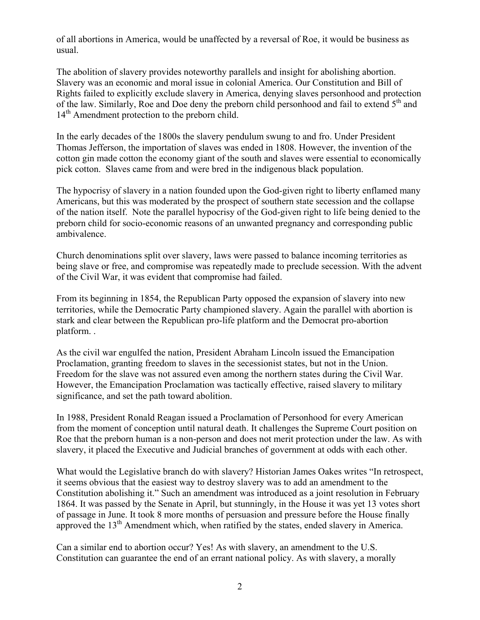of all abortions in America, would be unaffected by a reversal of Roe, it would be business as usual.

The abolition of slavery provides noteworthy parallels and insight for abolishing abortion. Slavery was an economic and moral issue in colonial America. Our Constitution and Bill of Rights failed to explicitly exclude slavery in America, denying slaves personhood and protection of the law. Similarly, Roe and Doe deny the preborn child personhood and fail to extend  $5<sup>th</sup>$  and 14<sup>th</sup> Amendment protection to the preborn child.

In the early decades of the 1800s the slavery pendulum swung to and fro. Under President Thomas Jefferson, the importation of slaves was ended in 1808. However, the invention of the cotton gin made cotton the economy giant of the south and slaves were essential to economically pick cotton. Slaves came from and were bred in the indigenous black population.

The hypocrisy of slavery in a nation founded upon the God-given right to liberty enflamed many Americans, but this was moderated by the prospect of southern state secession and the collapse of the nation itself. Note the parallel hypocrisy of the God-given right to life being denied to the preborn child for socio-economic reasons of an unwanted pregnancy and corresponding public ambivalence.

Church denominations split over slavery, laws were passed to balance incoming territories as being slave or free, and compromise was repeatedly made to preclude secession. With the advent of the Civil War, it was evident that compromise had failed.

From its beginning in 1854, the Republican Party opposed the expansion of slavery into new territories, while the Democratic Party championed slavery. Again the parallel with abortion is stark and clear between the Republican pro-life platform and the Democrat pro-abortion platform. .

As the civil war engulfed the nation, President Abraham Lincoln issued the Emancipation Proclamation, granting freedom to slaves in the secessionist states, but not in the Union. Freedom for the slave was not assured even among the northern states during the Civil War. However, the Emancipation Proclamation was tactically effective, raised slavery to military significance, and set the path toward abolition.

In 1988, President Ronald Reagan issued a Proclamation of Personhood for every American from the moment of conception until natural death. It challenges the Supreme Court position on Roe that the preborn human is a non-person and does not merit protection under the law. As with slavery, it placed the Executive and Judicial branches of government at odds with each other.

What would the Legislative branch do with slavery? Historian James Oakes writes "In retrospect, it seems obvious that the easiest way to destroy slavery was to add an amendment to the Constitution abolishing it." Such an amendment was introduced as a joint resolution in February 1864. It was passed by the Senate in April, but stunningly, in the House it was yet 13 votes short of passage in June. It took 8 more months of persuasion and pressure before the House finally approved the  $13<sup>th</sup>$  Amendment which, when ratified by the states, ended slavery in America.

Can a similar end to abortion occur? Yes! As with slavery, an amendment to the U.S. Constitution can guarantee the end of an errant national policy. As with slavery, a morally